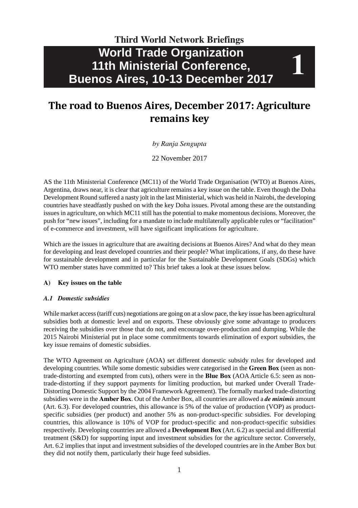# **World Trade Organization 11th Ministerial Conference, Buenos Aires, 10-13 December 2017 Third World Network Briefings**

**1**

# **The road to Buenos Aires, December 2017: Agriculture remains key**

### *by Ranja Sengupta*

22 November 2017

AS the 11th Ministerial Conference (MC11) of the World Trade Organisation (WTO) at Buenos Aires, Argentina, draws near, it is clear that agriculture remains a key issue on the table. Even though the Doha Development Round suffered a nasty jolt in the last Ministerial, which was held in Nairobi, the developing countries have steadfastly pushed on with the key Doha issues. Pivotal among these are the outstanding issues in agriculture, on which MC11 still has the potential to make momentous decisions. Moreover, the push for "new issues", including for a mandate to include multilaterally applicable rules or "facilitation" of e-commerce and investment, will have significant implications for agriculture.

Which are the issues in agriculture that are awaiting decisions at Buenos Aires? And what do they mean for developing and least developed countries and their people? What implications, if any, do these have for sustainable development and in particular for the Sustainable Development Goals (SDGs) which WTO member states have committed to? This brief takes a look at these issues below.

### **A) Key issues on the table**

#### *A.1 Domestic subsidies*

While market access (tariff cuts) negotiations are going on at a slow pace, the key issue has been agricultural subsidies both at domestic level and on exports. These obviously give some advantage to producers receiving the subsidies over those that do not, and encourage over-production and dumping. While the 2015 Nairobi Ministerial put in place some commitments towards elimination of export subsidies, the key issue remains of domestic subsidies.

The WTO Agreement on Agriculture (AOA) set different domestic subsidy rules for developed and developing countries. While some domestic subsidies were categorised in the **Green Box** (seen as nontrade-distorting and exempted from cuts), others were in the **Blue Box** (AOA Article 6.5: seen as nontrade-distorting if they support payments for limiting production, but marked under Overall Trade-Distorting Domestic Support by the 2004 Framework Agreement). The formally marked trade-distorting subsidies were in the **Amber Box**. Out of the Amber Box, all countries are allowed a *de minimis* amount (Art. 6.3). For developed countries, this allowance is 5% of the value of production (VOP) as productspecific subsidies (per product) and another 5% as non-product-specific subsidies. For developing countries, this allowance is 10% of VOP for product-specific and non-product-specific subsidies respectively. Developing countries are allowed a **Development Box** (Art. 6.2) as special and differential treatment (S&D) for supporting input and investment subsidies for the agriculture sector. Conversely, Art. 6.2 implies that input and investment subsidies of the developed countries are in the Amber Box but they did not notify them, particularly their huge feed subsidies.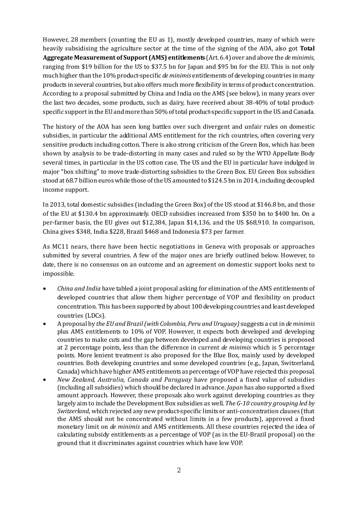However, 28 members (counting the EU as 1), mostly developed countries, many of which were heavily subsidising the agriculture sector at the time of the signing of the AOA, also got **Total Aggregate Measurement of Support (AMS) entitlements** (Art. 6.4) over and above the *de minimis*, ranging from \$19 billion for the US to \$37.5 bn for Japan and \$95 bn for the EU. This is not only much higher than the 10% product-specific *de minimis* entitlements of developing countries in many products in several countries, but also offers much more flexibility in terms of product concentration. According to a proposal submitted by China and India on the AMS (see below), in many years over the last two decades, some products, such as dairy, have received about 38-40% of total productspecific support in the EU and more than 50% of total product-specific support in the US and Canada.

The history of the AOA has seen long battles over such divergent and unfair rules on domestic subsidies, in particular the additional AMS entitlement for the rich countries, often covering very sensitive products including cotton. There is also strong criticism of the Green Box, which has been shown by analysis to be trade-distorting in many cases and ruled so by the WTO Appellate Body several times, in particular in the US cotton case. The US and the EU in particular have indulged in major "box shifting" to move trade-distorting subsidies to the Green Box. EU Green Box subsidies stood at 68.7 billion euros while those of the US amounted to \$124.5 bn in 2014, including decoupled income support.

In 2013, total domestic subsidies (including the Green Box) of the US stood at \$146.8 bn, and those of the EU at \$130.4 bn approximately. OECD subsidies increased from \$350 bn to \$400 bn. On a per-farmer basis, the EU gives out \$12,384, Japan \$14,136, and the US \$68,910. In comparison, China gives \$348, India \$228, Brazil \$468 and Indonesia \$73 per farmer.

As MC11 nears, there have been hectic negotiations in Geneva with proposals or approaches submitted by several countries. A few of the major ones are briefly outlined below. However, to date, there is no consensus on an outcome and an agreement on domestic support looks next to impossible.

- *China and India* have tabled a joint proposal asking for elimination of the AMS entitlements of developed countries that allow them higher percentage of VOP and flexibility on product concentration. This has been supported by about 100 developing countries and least developed countries (LDCs).
- A proposal by *the EU and Brazil (with Colombia, Peru and Uruguay)* suggests a cut in *de minimis* plus AMS entitlements to 10% of VOP. However, it expects both developed and developing countries to make cuts and the gap between developed and developing countries is proposed at 2 percentage points, less than the difference in current *de minimis* which is 5 percentage points. More lenient treatment is also proposed for the Blue Box, mainly used by developed countries. Both developing countries and some developed countries (e.g., Japan, Switzerland, Canada) which have higher AMS entitlements as percentage of VOP have rejected this proposal.
- *New Zealand, Australia, Canada and Paraguay* have proposed a fixed value of subsidies (including all subsidies) which should be declared in advance. *Japan* has also supported a fixed amount approach. However, these proposals also work against developing countries as they largely aim to include the Development Box subsidies as well. *The G-10 country grouping led by Switzerland*, which rejected any new product-specific limits or anti-concentration clauses (that the AMS should not be concentrated without limits in a few products), approved a fixed monetary limit on *de minimis* and AMS entitlements. All these countries rejected the idea of calculating subsidy entitlements as a percentage of VOP (as in the EU-Brazil proposal) on the ground that it discriminates against countries which have low VOP.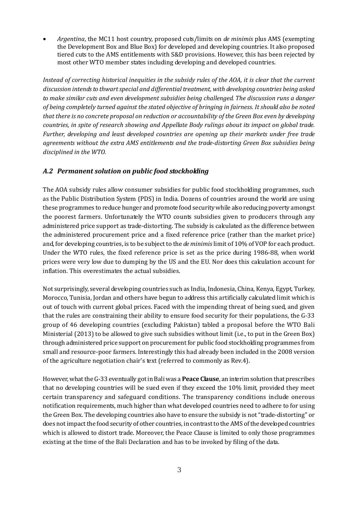• *Argentina*, the MC11 host country, proposed cuts/limits on *de minimis* plus AMS (exempting the Development Box and Blue Box) for developed and developing countries. It also proposed tiered cuts to the AMS entitlements with S&D provisions. However, this has been rejected by most other WTO member states including developing and developed countries.

*Instead of correcting historical inequities in the subsidy rules of the AOA, it is clear that the current discussion intends to thwart special and differential treatment, with developing countries being asked to make similar cuts and even development subsidies being challenged. The discussion runs a danger of being completely turned against the stated objective of bringing in fairness. It should also be noted that there is no concrete proposal on reduction or accountability of the Green Box even by developing countries, in spite of research showing and Appellate Body rulings about its impact on global trade. Further, developing and least developed countries are opening up their markets under free trade agreements without the extra AMS entitlements and the trade-distorting Green Box subsidies being disciplined in the WTO.*

## *A.2 Permanent solution on public food stockholding*

The AOA subsidy rules allow consumer subsidies for public food stockholding programmes, such as the Public Distribution System (PDS) in India. Dozens of countries around the world are using these programmes to reduce hunger and promote food security while also reducing poverty amongst the poorest farmers. Unfortunately the WTO counts subsidies given to producers through any administered price support as trade-distorting. The subsidy is calculated as the difference between the administered procurement price and a fixed reference price (rather than the market price) and, for developing countries, is to be subject to the *de minimis* limit of 10% of VOP for each product. Under the WTO rules, the fixed reference price is set as the price during 1986-88, when world prices were very low due to dumping by the US and the EU. Nor does this calculation account for inflation. This overestimates the actual subsidies.

Not surprisingly, several developing countries such as India, Indonesia, China, Kenya, Egypt, Turkey, Morocco, Tunisia, Jordan and others have begun to address this artificially calculated limit which is out of touch with current global prices. Faced with the impending threat of being sued, and given that the rules are constraining their ability to ensure food security for their populations, the G-33 group of 46 developing countries (excluding Pakistan) tabled a proposal before the WTO Bali Ministerial (2013) to be allowed to give such subsidies without limit (i.e., to put in the Green Box) through administered price support on procurement for public food stockholding programmes from small and resource-poor farmers. Interestingly this had already been included in the 2008 version of the agriculture negotiation chair's text (referred to commonly as Rev.4).

However, what the G-33 eventually got in Bali was a **Peace Clause**, an interim solution that prescribes that no developing countries will be sued even if they exceed the 10% limit, provided they meet certain transparency and safeguard conditions. The transparency conditions include onerous notification requirements, much higher than what developed countries need to adhere to for using the Green Box. The developing countries also have to ensure the subsidy is not "trade-distorting" or does not impact the food security of other countries, in contrast to the AMS of the developed countries which is allowed to distort trade. Moreover, the Peace Clause is limited to only those programmes existing at the time of the Bali Declaration and has to be invoked by filing of the data.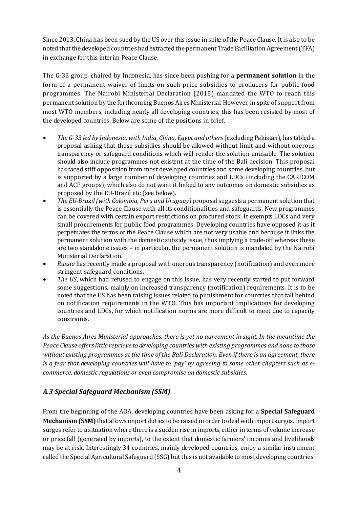Since 2013, China has been sued by the US over this issue in spite of the Peace Clause. It is also to be noted that the developed countries had extracted the permanent Trade Facilitation Agreement (TFA) in exchange for this interim Peace Clause.

The G-33 group, chaired by Indonesia, has since been pushing for a **permanent solution** in the form of a permanent waiver of limits on such price subsidies to producers for public food programmes. The Nairobi Ministerial Declaration (2015) mandated the WTO to reach this permanent solution by the forthcoming Buenos Aires Ministerial. However, in spite of support from most WTO members, including nearly all developing countries, this has been resisted by most of the developed countries. Below are some of the positions in brief.

- *The G-33 led by Indonesia, with India, China, Egypt and others* (excluding Pakistan), has tabled a proposal asking that these subsidies should be allowed without limit and without onerous transparency or safeguard conditions which will render the solution unusable. The solution should also include programmes not existent at the time of the Bali decision. This proposal has faced stiff opposition from most developed countries and some developing countries, but is supported by a large number of developing countries and LDCs (including the CARICOM and ACP groups), which also do not want it linked to any outcomes on domestic subsidies as proposed by the EU-Brazil etc (see below).
- *The EU-Brazil (with Colombia, Peru and Uruguay)* proposal suggests a permanent solution that is essentially the Peace Clause with all its conditionalities and safeguards. New programmes can be covered with certain export restrictions on procured stock. It exempts LDCs and very small procurements for public food programmes. Developing countries have opposed it as it perpetuates the terms of the Peace Clause which are not very usable and because it links the permanent solution with the domestic subsidy issue, thus implying a trade-off whereas these are two standalone issues – in particular, the permanent solution is mandated by the Nairobi Ministerial Declaration.
- *Russia* has recently made a proposal with onerous transparency (notification) and even more stringent safeguard conditions.
- *The US*, which had refused to engage on this issue, has very recently started to put forward some suggestions, mainly on increased transparency (notification) requirements. It is to be noted that the US has been raising issues related to punishment for countries that fall behind on notification requirements in the WTO. This has important implications for developing countries and LDCs, for which notification norms are more difficult to meet due to capacity constraints.

*As the Buenos Aires Ministerial approaches, there is yet no agreement in sight. In the meantime the Peace Clause offers little reprieve to developing countries with existing programmes and none to those without existing programmes at the time of the Bali Declaration. Even if there is an agreement, there is a fear that developing countries will have to 'pay' by agreeing to some other chapters such as ecommerce, domestic regulations or even compromise on domestic subsidies*.

# *A.3 Special Safeguard Mechanism (SSM)*

From the beginning of the AOA, developing countries have been asking for a **Special Safeguard Mechanism (SSM)** that allows import duties to be raised in order to deal with import surges. Import surges refer to a situation where there is a sudden rise in imports, either in terms of volume increase or price fall (generated by imports), to the extent that domestic farmers' incomes and livelihoods may be at risk. Interestingly 34 countries, mainly developed countries, enjoy a similar instrument called the Special Agricultural Safeguard (SSG) but this is not available to most developing countries.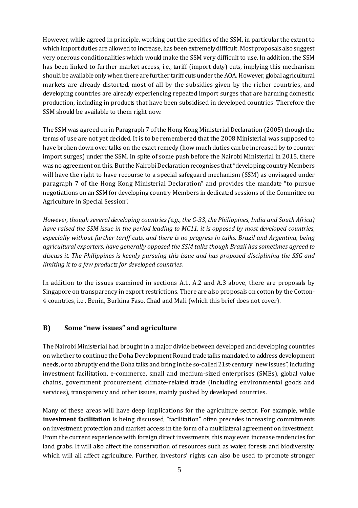However, while agreed in principle, working out the specifics of the SSM, in particular the extent to which import duties are allowed to increase, has been extremely difficult. Most proposals also suggest very onerous conditionalities which would make the SSM very difficult to use. In addition, the SSM has been linked to further market access, i.e., tariff (import duty) cuts, implying this mechanism should be available only when there are further tariff cuts under the AOA. However, global agricultural markets are already distorted, most of all by the subsidies given by the richer countries, and developing countries are already experiencing repeated import surges that are harming domestic production, including in products that have been subsidised in developed countries. Therefore the SSM should be available to them right now.

The SSM was agreed on in Paragraph 7 of the Hong Kong Ministerial Declaration (2005) though the terms of use are not yet decided. It is to be remembered that the 2008 Ministerial was supposed to have broken down over talks on the exact remedy (how much duties can be increased by to counter import surges) under the SSM. In spite of some push before the Nairobi Ministerial in 2015, there was no agreement on this. But the Nairobi Declaration recognises that "developing country Members will have the right to have recourse to a special safeguard mechanism (SSM) as envisaged under paragraph 7 of the Hong Kong Ministerial Declaration" and provides the mandate "to pursue negotiations on an SSM for developing country Members in dedicated sessions of the Committee on Agriculture in Special Session".

*However, though several developing countries (e.g., the G-33, the Philippines, India and South Africa) have raised the SSM issue in the period leading to MC11, it is opposed by most developed countries, especially without further tariff cuts, and there is no progress in talks. Brazil and Argentina, being agricultural exporters, have generally opposed the SSM talks though Brazil has sometimes agreed to discuss it. The Philippines is keenly pursuing this issue and has proposed disciplining the SSG and limiting it to a few products for developed countries.*

In addition to the issues examined in sections A.1, A.2 and A.3 above, there are proposals by Singapore on transparency in export restrictions. There are also proposals on cotton by the Cotton-4 countries, i.e., Benin, Burkina Faso, Chad and Mali (which this brief does not cover).

## **B) Some "new issues" and agriculture**

The Nairobi Ministerial had brought in a major divide between developed and developing countries on whether to continue the Doha Development Round trade talks mandated to address development needs, or to abruptly end the Doha talks and bring in the so-called 21st-century "new issues", including investment facilitation, e-commerce, small and medium-sized enterprises (SMEs), global value chains, government procurement, climate-related trade (including environmental goods and services), transparency and other issues, mainly pushed by developed countries.

Many of these areas will have deep implications for the agriculture sector. For example, while **investment facilitation** is being discussed, "facilitation" often precedes increasing commitments on investment protection and market access in the form of a multilateral agreement on investment. From the current experience with foreign direct investments, this may even increase tendencies for land grabs. It will also affect the conservation of resources such as water, forests and biodiversity, which will all affect agriculture. Further, investors' rights can also be used to promote stronger